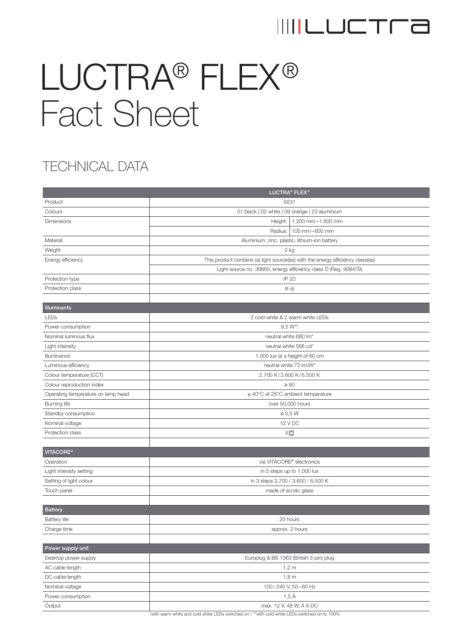## IIIILUCTIO

## LUCTRA® FLEX® Fact Sheet

## TECHNICAL DATA

|                                    | LUCTRA <sup>®</sup> FLEX <sup>®</sup>                                           |
|------------------------------------|---------------------------------------------------------------------------------|
| Product                            | 9231                                                                            |
| Colours                            | 01 black   02 white   09 orange   23 aluminium                                  |
| Dimensions                         | Height:   1.200 mm - 1.600 mm                                                   |
|                                    | Radius:   100 mm-600 mm                                                         |
| Material                           | Aluminium, zinc, plastic, lithium-ion battery                                   |
| Weight                             | 2 kg                                                                            |
| Energy efficiency                  | This product contains (a) light source(es) with the energy efficiency class(es) |
|                                    | Light source no. 36660, energy efficiency class D (Reg. 908479)                 |
| Protection type                    | IP 20                                                                           |
| Protection class                   | III ®                                                                           |
|                                    |                                                                                 |
| <b>Illuminants</b>                 |                                                                                 |
| LEDs                               | 2 cold white & 2 warm white LEDs                                                |
| Power consumption                  | $9.5 W^{**}$                                                                    |
| Nominal luminous flux              | neutral white 680 lm*                                                           |
| Light intensity                    | neutral white 566 cd*                                                           |
| Illuminance                        | 1,000 lux at a height of 60 cm                                                  |
| Luminous efficiency                | neutral white 73 lm/W*                                                          |
| Colour temperature (CCT)           | 2.700 K/3.600 K/6.500 K                                                         |
| Colour reproduction index          | $\geq 80$                                                                       |
| Operating temperature on lamp head | $\leq 40^{\circ}\textrm{C}$ at 25°C ambient temperature                         |
| <b>Burning life</b>                | over 50,000 hours                                                               |
| Standby consumption                | $\leq 0.5$ W                                                                    |
| Nominal voltage                    | 12 V DC                                                                         |
| Protection class                   | $\parallel$ $\Box$                                                              |
|                                    |                                                                                 |
| <b>VITACORE®</b>                   |                                                                                 |
| Operation                          | via VITACORE® electronics                                                       |
| Light intensity setting            | in 5 steps up to 1,000 lux                                                      |
| Setting of light colour            | in 3 steps 2,700 / 3,600 / 6,500 K                                              |
| Touch panel                        | made of acrylic glass                                                           |
|                                    |                                                                                 |
| <b>Battery</b>                     |                                                                                 |
| <b>Battery life</b>                | 25 hours                                                                        |
| Charge time                        | approx. 2 hours                                                                 |
|                                    |                                                                                 |
| Power supply unit                  |                                                                                 |
| Desktop power supply               | Europlug & BS 1363 (British 3-pin) plug                                         |
| AC cable length                    | $1,2 \text{ m}$                                                                 |
| DC cable length                    | 1,8m                                                                            |
| Nominal voltage                    | 100-240 V, 50-60 Hz                                                             |
| Power consumption                  | 1,5A                                                                            |
| Output                             | max. 12 V, 48 W, 4 A DC                                                         |

\*with warm white and cold white LEDs switched on / \*\*with cold white LEDs switched on to 100%